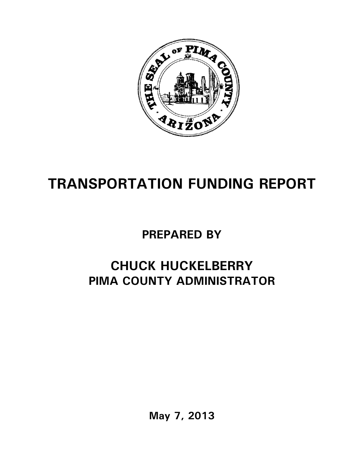

## **TRANSPORTATION FUNDING REPORT**

## **PREPARED BY**

## **CHUCK HUCKELBERRY PIMA COUNTY ADMINISTRATOR**

**May 7, 2013**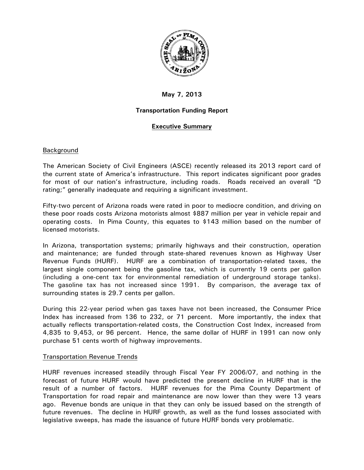

### **May 7, 2013**

#### **Transportation Funding Report**

#### **Executive Summary**

#### Background

The American Society of Civil Engineers (ASCE) recently released its 2013 report card of the current state of America's infrastructure. This report indicates significant poor grades for most of our nation's infrastructure, including roads. Roads received an overall "D rating;" generally inadequate and requiring a significant investment.

Fifty-two percent of Arizona roads were rated in poor to mediocre condition, and driving on these poor roads costs Arizona motorists almost \$887 million per year in vehicle repair and operating costs. In Pima County, this equates to \$143 million based on the number of licensed motorists.

In Arizona, transportation systems; primarily highways and their construction, operation and maintenance; are funded through state-shared revenues known as Highway User Revenue Funds (HURF). HURF are a combination of transportation-related taxes, the largest single component being the gasoline tax, which is currently 19 cents per gallon (including a one-cent tax for environmental remediation of underground storage tanks). The gasoline tax has not increased since 1991. By comparison, the average tax of surrounding states is 29.7 cents per gallon.

During this 22-year period when gas taxes have not been increased, the Consumer Price Index has increased from 136 to 232, or 71 percent. More importantly, the index that actually reflects transportation-related costs, the Construction Cost Index, increased from 4,835 to 9,453, or 96 percent. Hence, the same dollar of HURF in 1991 can now only purchase 51 cents worth of highway improvements.

#### Transportation Revenue Trends

HURF revenues increased steadily through Fiscal Year FY 2006/07, and nothing in the forecast of future HURF would have predicted the present decline in HURF that is the result of a number of factors. HURF revenues for the Pima County Department of Transportation for road repair and maintenance are now lower than they were 13 years ago. Revenue bonds are unique in that they can only be issued based on the strength of future revenues. The decline in HURF growth, as well as the fund losses associated with legislative sweeps, has made the issuance of future HURF bonds very problematic.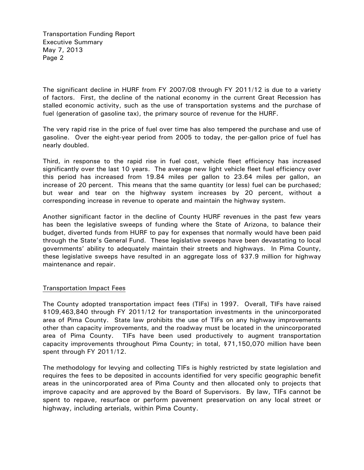Transportation Funding Report Executive Summary May 7, 2013 Page 2

The significant decline in HURF from FY 2007/08 through FY 2011/12 is due to a variety of factors. First, the decline of the national economy in the current Great Recession has stalled economic activity, such as the use of transportation systems and the purchase of fuel (generation of gasoline tax), the primary source of revenue for the HURF.

The very rapid rise in the price of fuel over time has also tempered the purchase and use of gasoline. Over the eight-year period from 2005 to today, the per-gallon price of fuel has nearly doubled.

Third, in response to the rapid rise in fuel cost, vehicle fleet efficiency has increased significantly over the last 10 years. The average new light vehicle fleet fuel efficiency over this period has increased from 19.84 miles per gallon to 23.64 miles per gallon, an increase of 20 percent. This means that the same quantity (or less) fuel can be purchased; but wear and tear on the highway system increases by 20 percent, without a corresponding increase in revenue to operate and maintain the highway system.

Another significant factor in the decline of County HURF revenues in the past few years has been the legislative sweeps of funding where the State of Arizona, to balance their budget, diverted funds from HURF to pay for expenses that normally would have been paid through the State's General Fund. These legislative sweeps have been devastating to local governments' ability to adequately maintain their streets and highways. In Pima County, these legislative sweeps have resulted in an aggregate loss of \$37.9 million for highway maintenance and repair.

#### Transportation Impact Fees

The County adopted transportation impact fees (TIFs) in 1997. Overall, TIFs have raised \$109,463,840 through FY 2011/12 for transportation investments in the unincorporated area of Pima County. State law prohibits the use of TIFs on any highway improvements other than capacity improvements, and the roadway must be located in the unincorporated area of Pima County. TIFs have been used productively to augment transportation capacity improvements throughout Pima County; in total, \$71,150,070 million have been spent through FY 2011/12.

The methodology for levying and collecting TIFs is highly restricted by state legislation and requires the fees to be deposited in accounts identified for very specific geographic benefit areas in the unincorporated area of Pima County and then allocated only to projects that improve capacity and are approved by the Board of Supervisors. By law, TIFs cannot be spent to repave, resurface or perform pavement preservation on any local street or highway, including arterials, within Pima County.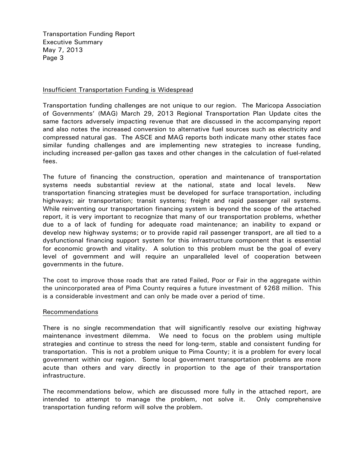Transportation Funding Report Executive Summary May 7, 2013 Page 3

#### Insufficient Transportation Funding is Widespread

Transportation funding challenges are not unique to our region. The Maricopa Association of Governments' (MAG) March 29, 2013 Regional Transportation Plan Update cites the same factors adversely impacting revenue that are discussed in the accompanying report and also notes the increased conversion to alternative fuel sources such as electricity and compressed natural gas. The ASCE and MAG reports both indicate many other states face similar funding challenges and are implementing new strategies to increase funding, including increased per-gallon gas taxes and other changes in the calculation of fuel-related fees.

The future of financing the construction, operation and maintenance of transportation systems needs substantial review at the national, state and local levels. New transportation financing strategies must be developed for surface transportation, including highways; air transportation; transit systems; freight and rapid passenger rail systems. While reinventing our transportation financing system is beyond the scope of the attached report, it is very important to recognize that many of our transportation problems, whether due to a of lack of funding for adequate road maintenance; an inability to expand or develop new highway systems; or to provide rapid rail passenger transport, are all tied to a dysfunctional financing support system for this infrastructure component that is essential for economic growth and vitality. A solution to this problem must be the goal of every level of government and will require an unparalleled level of cooperation between governments in the future.

The cost to improve those roads that are rated Failed, Poor or Fair in the aggregate within the unincorporated area of Pima County requires a future investment of \$268 million. This is a considerable investment and can only be made over a period of time.

#### Recommendations

There is no single recommendation that will significantly resolve our existing highway maintenance investment dilemma. We need to focus on the problem using multiple strategies and continue to stress the need for long-term, stable and consistent funding for transportation. This is not a problem unique to Pima County; it is a problem for every local government within our region. Some local government transportation problems are more acute than others and vary directly in proportion to the age of their transportation infrastructure.

The recommendations below, which are discussed more fully in the attached report, are intended to attempt to manage the problem, not solve it. Only comprehensive transportation funding reform will solve the problem.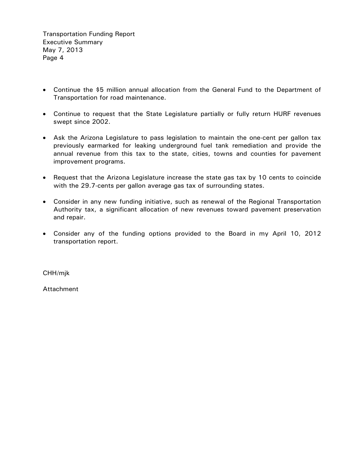Transportation Funding Report Executive Summary May 7, 2013 Page 4

- Continue the \$5 million annual allocation from the General Fund to the Department of Transportation for road maintenance.
- Continue to request that the State Legislature partially or fully return HURF revenues swept since 2002.
- Ask the Arizona Legislature to pass legislation to maintain the one-cent per gallon tax previously earmarked for leaking underground fuel tank remediation and provide the annual revenue from this tax to the state, cities, towns and counties for pavement improvement programs.
- Request that the Arizona Legislature increase the state gas tax by 10 cents to coincide with the 29.7-cents per gallon average gas tax of surrounding states.
- Consider in any new funding initiative, such as renewal of the Regional Transportation Authority tax, a significant allocation of new revenues toward pavement preservation and repair.
- Consider any of the funding options provided to the Board in my April 10, 2012 transportation report.

CHH/mjk

Attachment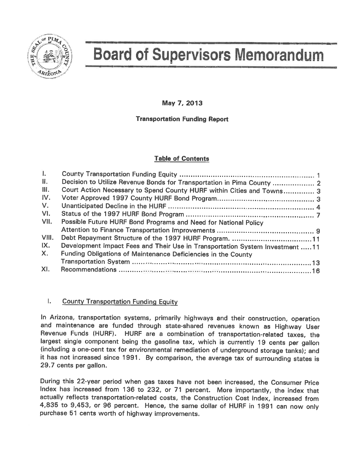

# **Board of Supervisors Memorandum**

May 7, 2013

#### **Transportation Funding Report**

#### **Table of Contents**

| 1.             |                                                                              |  |
|----------------|------------------------------------------------------------------------------|--|
| $\mathbf{H}$ . | Decision to Utilize Revenue Bonds for Transportation in Pima County  2       |  |
| III.           | Court Action Necessary to Spend County HURF within Cities and Towns 3        |  |
| IV.            |                                                                              |  |
| $V_{\rm L}$    |                                                                              |  |
| VI.            |                                                                              |  |
| VII.           | Possible Future HURF Bond Programs and Need for National Policy              |  |
|                |                                                                              |  |
| VIII.          |                                                                              |  |
| IX.            | Development Impact Fees and Their Use in Transportation System Investment 11 |  |
| $X_{-}$        | Funding Obligations of Maintenance Deficiencies in the County                |  |
|                |                                                                              |  |
| XI.            |                                                                              |  |

#### Ι. **County Transportation Funding Equity**

In Arizona, transportation systems, primarily highways and their construction, operation and maintenance are funded through state-shared revenues known as Highway User Revenue Funds (HURF). HURF are a combination of transportation-related taxes, the largest single component being the gasoline tax, which is currently 19 cents per gallon (including a one-cent tax for environmental remediation of underground storage tanks); and it has not increased since 1991. By comparison, the average tax of surrounding states is 29.7 cents per gallon.

During this 22-year period when gas taxes have not been increased, the Consumer Price Index has increased from 136 to 232, or 71 percent. More importantly, the index that actually reflects transportation-related costs, the Construction Cost Index, increased from 4,835 to 9,453, or 96 percent. Hence, the same dollar of HURF in 1991 can now only purchase 51 cents worth of highway improvements.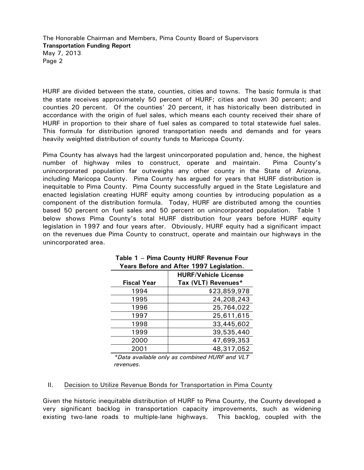HURF are divided between the state, counties, cities and towns. The basic formula is that the state receives approximately 50 percent of HURF; cities and town 30 percent; and counties 20 percent. Of the counties' 20 percent, it has historically been distributed in accordance with the origin of fuel sales, which means each county received their share of HURF in proportion to their share of fuel sales as compared to total statewide fuel sales. This formula for distribution ignored transportation needs and demands and for years heavily weighted distribution of county funds to Maricopa County.

Pima County has always had the largest unincorporated population and, hence, the highest number of highway miles to construct, operate and maintain. Pima County's unincorporated population far outweighs any other county in the State of Arizona, including Maricopa County. Pima County has argued for years that HURF distribution is inequitable to Pima County. Pima County successfully argued in the State Legislature and enacted legislation creating HURF equity among counties by introducing population as a component of the distribution formula. Today, HURF are distributed among the counties based 50 percent on fuel sales and 50 percent on unincorporated population. Table 1 below shows Pima County's total HURF distribution four years before HURF equity legislation in 1997 and four years after. Obviously, HURF equity had a significant impact on the revenues due Pima County to construct, operate and maintain our highways in the unincorporated area.

|                    | $1 \text{ cm}$ before and Arter 1997 Legislation. |
|--------------------|---------------------------------------------------|
|                    | <b>HURF/Vehicle License</b>                       |
| <b>Fiscal Year</b> | Tax (VLT) Revenues*                               |
| 1994               | \$23,859,978                                      |
| 1995               | 24,208,243                                        |
| 1996               | 25,764,022                                        |
| 1997               | 25,611,615                                        |
| 1998               | 33,445,602                                        |
| 1999               | 39,535,440                                        |
| 2000               | 47,699,353                                        |
| 2001               | 48,317,052                                        |

|  |  |  | Table 1 - Pima County HURF Revenue Four  |  |
|--|--|--|------------------------------------------|--|
|  |  |  | Years Before and After 1997 Legislation. |  |

*\*Data available only as combined HURF and VLT revenues.* 

#### II. Decision to Utilize Revenue Bonds for Transportation in Pima County

Given the historic inequitable distribution of HURF to Pima County, the County developed a very significant backlog in transportation capacity improvements, such as widening existing two-lane roads to multiple-lane highways. This backlog, coupled with the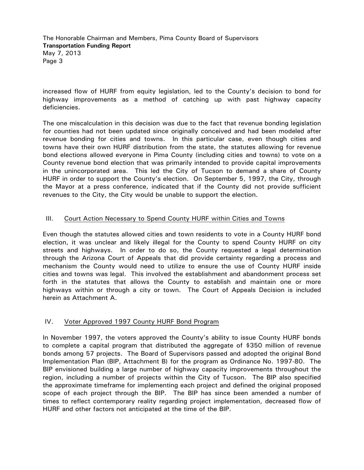increased flow of HURF from equity legislation, led to the County's decision to bond for highway improvements as a method of catching up with past highway capacity deficiencies.

The one miscalculation in this decision was due to the fact that revenue bonding legislation for counties had not been updated since originally conceived and had been modeled after revenue bonding for cities and towns. In this particular case, even though cities and towns have their own HURF distribution from the state, the statutes allowing for revenue bond elections allowed everyone in Pima County (including cities and towns) to vote on a County revenue bond election that was primarily intended to provide capital improvements in the unincorporated area. This led the City of Tucson to demand a share of County HURF in order to support the County's election. On September 5, 1997, the City, through the Mayor at a press conference, indicated that if the County did not provide sufficient revenues to the City, the City would be unable to support the election.

#### III. Court Action Necessary to Spend County HURF within Cities and Towns

Even though the statutes allowed cities and town residents to vote in a County HURF bond election, it was unclear and likely illegal for the County to spend County HURF on city streets and highways. In order to do so, the County requested a legal determination through the Arizona Court of Appeals that did provide certainty regarding a process and mechanism the County would need to utilize to ensure the use of County HURF inside cities and towns was legal. This involved the establishment and abandonment process set forth in the statutes that allows the County to establish and maintain one or more highways within or through a city or town. The Court of Appeals Decision is included herein as Attachment A.

#### IV. Voter Approved 1997 County HURF Bond Program

In November 1997, the voters approved the County's ability to issue County HURF bonds to complete a capital program that distributed the aggregate of \$350 million of revenue bonds among 57 projects. The Board of Supervisors passed and adopted the original Bond Implementation Plan (BIP, Attachment B) for the program as Ordinance No. 1997-80. The BIP envisioned building a large number of highway capacity improvements throughout the region, including a number of projects within the City of Tucson. The BIP also specified the approximate timeframe for implementing each project and defined the original proposed scope of each project through the BIP. The BIP has since been amended a number of times to reflect contemporary reality regarding project implementation, decreased flow of HURF and other factors not anticipated at the time of the BIP.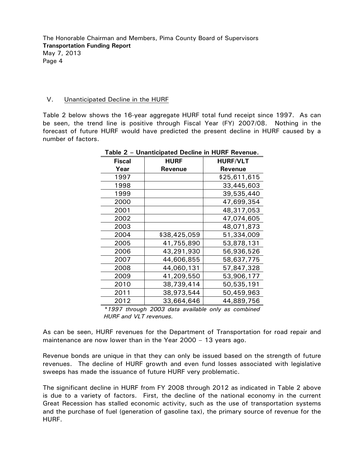#### V. Unanticipated Decline in the HURF

Table 2 below shows the 16-year aggregate HURF total fund receipt since 1997. As can be seen, the trend line is positive through Fiscal Year (FY) 2007/08. Nothing in the forecast of future HURF would have predicted the present decline in HURF caused by a number of factors.

| Fiscal | <b>HURF</b>  | <b>HURF/VLT</b> |
|--------|--------------|-----------------|
| Year   | Revenue      | <b>Revenue</b>  |
| 1997   |              | \$25,611,615    |
| 1998   |              | 33,445,603      |
| 1999   |              | 39,535,440      |
| 2000   |              | 47,699,354      |
| 2001   |              | 48,317,053      |
| 2002   |              | 47,074,605      |
| 2003   |              | 48,071,873      |
| 2004   | \$38,425,059 | 51,334,009      |
| 2005   | 41,755,890   | 53,878,131      |
| 2006   | 43,291,930   | 56,936,526      |
| 2007   | 44,606,855   | 58,637,775      |
| 2008   | 44,060,131   | 57,847,328      |
| 2009   | 41,209,550   | 53,906,177      |
| 2010   | 38,739,414   | 50,535,191      |
| 2011   | 38,973,544   | 50,459,963      |
| 2012   | 33,664,646   | 44,889,756      |
|        |              |                 |

**Table 2 – Unanticipated Decline in HURF Revenue.** 

*\*1997 through 2003 data available only as combined HURF and VLT revenues.*

As can be seen, HURF revenues for the Department of Transportation for road repair and maintenance are now lower than in the Year 2000 – 13 years ago.

Revenue bonds are unique in that they can only be issued based on the strength of future revenues. The decline of HURF growth and even fund losses associated with legislative sweeps has made the issuance of future HURF very problematic.

The significant decline in HURF from FY 2008 through 2012 as indicated in Table 2 above is due to a variety of factors. First, the decline of the national economy in the current Great Recession has stalled economic activity, such as the use of transportation systems and the purchase of fuel (generation of gasoline tax), the primary source of revenue for the HURF.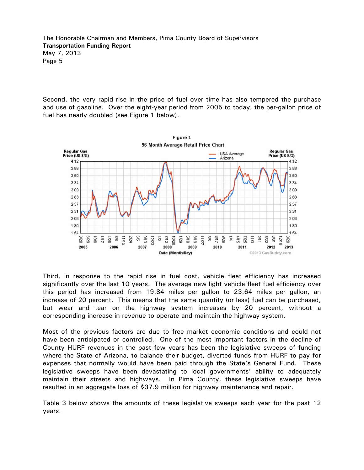Second, the very rapid rise in the price of fuel over time has also tempered the purchase and use of gasoline. Over the eight-year period from 2005 to today, the per-gallon price of fuel has nearly doubled (see Figure 1 below).



Third, in response to the rapid rise in fuel cost, vehicle fleet efficiency has increased significantly over the last 10 years. The average new light vehicle fleet fuel efficiency over this period has increased from 19.84 miles per gallon to 23.64 miles per gallon, an increase of 20 percent. This means that the same quantity (or less) fuel can be purchased, but wear and tear on the highway system increases by 20 percent, without a corresponding increase in revenue to operate and maintain the highway system.

Most of the previous factors are due to free market economic conditions and could not have been anticipated or controlled. One of the most important factors in the decline of County HURF revenues in the past few years has been the legislative sweeps of funding where the State of Arizona, to balance their budget, diverted funds from HURF to pay for expenses that normally would have been paid through the State's General Fund. These legislative sweeps have been devastating to local governments' ability to adequately maintain their streets and highways. In Pima County, these legislative sweeps have resulted in an aggregate loss of \$37.9 million for highway maintenance and repair.

Table 3 below shows the amounts of these legislative sweeps each year for the past 12 years.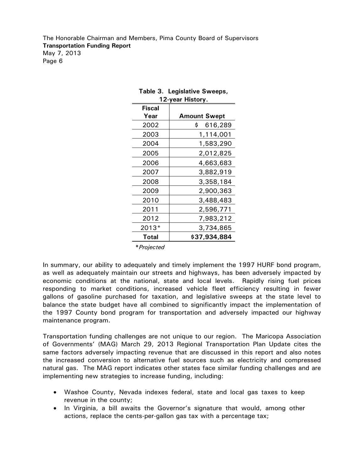| 12-year History. |                     |  |  |  |  |  |  |
|------------------|---------------------|--|--|--|--|--|--|
| Fiscal           |                     |  |  |  |  |  |  |
| Year             | <b>Amount Swept</b> |  |  |  |  |  |  |
| 2002             | 616,289<br>\$       |  |  |  |  |  |  |
| 2003             | 1,114,001           |  |  |  |  |  |  |
| 2004             | 1,583,290           |  |  |  |  |  |  |
| 2005             | 2,012,825           |  |  |  |  |  |  |
| 2006             | 4,663,683           |  |  |  |  |  |  |
| 2007             | 3,882,919           |  |  |  |  |  |  |
| 2008             | 3,358,184           |  |  |  |  |  |  |
| 2009             | 2,900,363           |  |  |  |  |  |  |
| 2010             | 3,488,483           |  |  |  |  |  |  |
| 2011             | 2,596,771           |  |  |  |  |  |  |
| 2012             | 7,983,212           |  |  |  |  |  |  |
| 2013*            | 3,734,865           |  |  |  |  |  |  |
| Total            | \$37,934,884        |  |  |  |  |  |  |

#### **Table 3. Legislative Sweeps, 12-year History.**

**\****Projected*

In summary, our ability to adequately and timely implement the 1997 HURF bond program, as well as adequately maintain our streets and highways, has been adversely impacted by economic conditions at the national, state and local levels. Rapidly rising fuel prices responding to market conditions, increased vehicle fleet efficiency resulting in fewer gallons of gasoline purchased for taxation, and legislative sweeps at the state level to balance the state budget have all combined to significantly impact the implementation of the 1997 County bond program for transportation and adversely impacted our highway maintenance program.

Transportation funding challenges are not unique to our region. The Maricopa Association of Governments' (MAG) March 29, 2013 Regional Transportation Plan Update cites the same factors adversely impacting revenue that are discussed in this report and also notes the increased conversion to alternative fuel sources such as electricity and compressed natural gas. The MAG report indicates other states face similar funding challenges and are implementing new strategies to increase funding, including:

- Washoe County, Nevada indexes federal, state and local gas taxes to keep revenue in the county;
- In Virginia, a bill awaits the Governor's signature that would, among other actions, replace the cents-per-gallon gas tax with a percentage tax;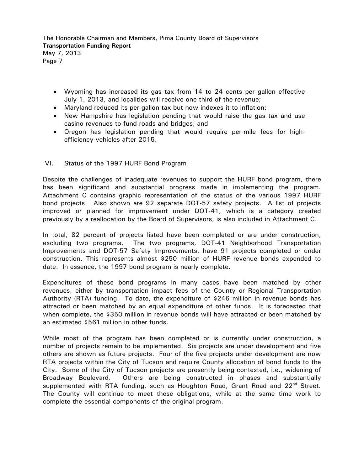- Wyoming has increased its gas tax from 14 to 24 cents per gallon effective July 1, 2013, and localities will receive one third of the revenue;
- Maryland reduced its per-gallon tax but now indexes it to inflation;
- New Hampshire has legislation pending that would raise the gas tax and use casino revenues to fund roads and bridges; and
- Oregon has legislation pending that would require per-mile fees for highefficiency vehicles after 2015.

#### VI. Status of the 1997 HURF Bond Program

Despite the challenges of inadequate revenues to support the HURF bond program, there has been significant and substantial progress made in implementing the program. Attachment C contains graphic representation of the status of the various 1997 HURF bond projects. Also shown are 92 separate DOT-57 safety projects. A list of projects improved or planned for improvement under DOT-41, which is a category created previously by a reallocation by the Board of Supervisors, is also included in Attachment C.

In total, 82 percent of projects listed have been completed or are under construction, excluding two programs. The two programs, DOT-41 Neighborhood Transportation Improvements and DOT-57 Safety Improvements, have 91 projects completed or under construction. This represents almost \$250 million of HURF revenue bonds expended to date. In essence, the 1997 bond program is nearly complete.

Expenditures of these bond programs in many cases have been matched by other revenues, either by transportation impact fees of the County or Regional Transportation Authority (RTA) funding. To date, the expenditure of \$246 million in revenue bonds has attracted or been matched by an equal expenditure of other funds. It is forecasted that when complete, the \$350 million in revenue bonds will have attracted or been matched by an estimated \$561 million in other funds.

While most of the program has been completed or is currently under construction, a number of projects remain to be implemented. Six projects are under development and five others are shown as future projects. Four of the five projects under development are now RTA projects within the City of Tucson and require County allocation of bond funds to the City. Some of the City of Tucson projects are presently being contested, i.e., widening of Broadway Boulevard. Others are being constructed in phases and substantially supplemented with RTA funding, such as Houghton Road, Grant Road and  $22<sup>nd</sup>$  Street. The County will continue to meet these obligations, while at the same time work to complete the essential components of the original program.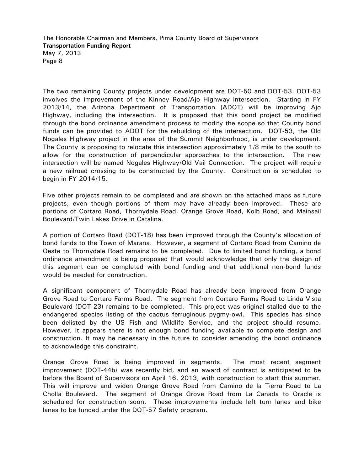The two remaining County projects under development are DOT-50 and DOT-53. DOT-53 involves the improvement of the Kinney Road/Ajo Highway intersection. Starting in FY 2013/14, the Arizona Department of Transportation (ADOT) will be improving Ajo Highway, including the intersection. It is proposed that this bond project be modified through the bond ordinance amendment process to modify the scope so that County bond funds can be provided to ADOT for the rebuilding of the intersection. DOT-53, the Old Nogales Highway project in the area of the Summit Neighborhood, is under development. The County is proposing to relocate this intersection approximately 1/8 mile to the south to allow for the construction of perpendicular approaches to the intersection. The new intersection will be named Nogales Highway/Old Vail Connection. The project will require a new railroad crossing to be constructed by the County. Construction is scheduled to begin in FY 2014/15.

Five other projects remain to be completed and are shown on the attached maps as future projects, even though portions of them may have already been improved. These are portions of Cortaro Road, Thornydale Road, Orange Grove Road, Kolb Road, and Mainsail Boulevard/Twin Lakes Drive in Catalina.

A portion of Cortaro Road (DOT-18) has been improved through the County's allocation of bond funds to the Town of Marana. However, a segment of Cortaro Road from Camino de Oeste to Thornydale Road remains to be completed. Due to limited bond funding, a bond ordinance amendment is being proposed that would acknowledge that only the design of this segment can be completed with bond funding and that additional non-bond funds would be needed for construction.

A significant component of Thornydale Road has already been improved from Orange Grove Road to Cortaro Farms Road. The segment from Cortaro Farms Road to Linda Vista Boulevard (DOT-23) remains to be completed. This project was original stalled due to the endangered species listing of the cactus ferruginous pygmy-owl. This species has since been delisted by the US Fish and Wildlife Service, and the project should resume. However, it appears there is not enough bond funding available to complete design and construction. It may be necessary in the future to consider amending the bond ordinance to acknowledge this constraint.

Orange Grove Road is being improved in segments. The most recent segment improvement (DOT-44b) was recently bid, and an award of contract is anticipated to be before the Board of Supervisors on April 16, 2013, with construction to start this summer. This will improve and widen Orange Grove Road from Camino de la Tierra Road to La Cholla Boulevard. The segment of Orange Grove Road from La Canada to Oracle is scheduled for construction soon. These improvements include left turn lanes and bike lanes to be funded under the DOT-57 Safety program.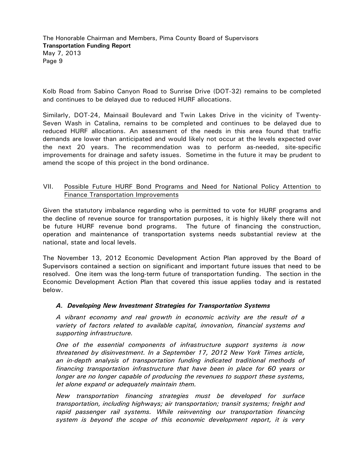Kolb Road from Sabino Canyon Road to Sunrise Drive (DOT-32) remains to be completed and continues to be delayed due to reduced HURF allocations.

Similarly, DOT-24, Mainsail Boulevard and Twin Lakes Drive in the vicinity of Twenty-Seven Wash in Catalina, remains to be completed and continues to be delayed due to reduced HURF allocations. An assessment of the needs in this area found that traffic demands are lower than anticipated and would likely not occur at the levels expected over the next 20 years. The recommendation was to perform as-needed, site-specific improvements for drainage and safety issues. Sometime in the future it may be prudent to amend the scope of this project in the bond ordinance.

#### VII. Possible Future HURF Bond Programs and Need for National Policy Attention to Finance Transportation Improvements

Given the statutory imbalance regarding who is permitted to vote for HURF programs and the decline of revenue source for transportation purposes, it is highly likely there will not be future HURF revenue bond programs. The future of financing the construction, operation and maintenance of transportation systems needs substantial review at the national, state and local levels.

The November 13, 2012 Economic Development Action Plan approved by the Board of Supervisors contained a section on significant and important future issues that need to be resolved. One item was the long-term future of transportation funding. The section in the Economic Development Action Plan that covered this issue applies today and is restated below.

#### *A. Developing New Investment Strategies for Transportation Systems*

*A vibrant economy and real growth in economic activity are the result of a variety of factors related to available capital, innovation, financial systems and supporting infrastructure.* 

*One of the essential components of infrastructure support systems is now threatened by disinvestment. In a September 17, 2012 New York Times article, an in-depth analysis of transportation funding indicated traditional methods of financing transportation infrastructure that have been in place for 60 years or longer are no longer capable of producing the revenues to support these systems, let alone expand or adequately maintain them.* 

*New transportation financing strategies must be developed for surface transportation, including highways; air transportation; transit systems; freight and rapid passenger rail systems. While reinventing our transportation financing system is beyond the scope of this economic development report, it is very*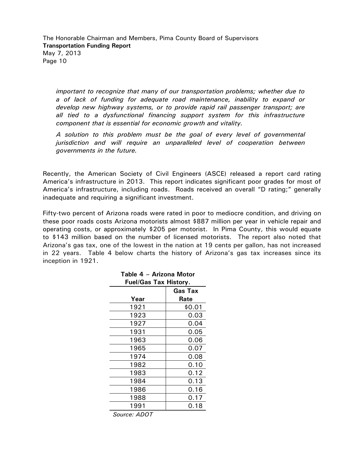*important to recognize that many of our transportation problems; whether due to a of lack of funding for adequate road maintenance, inability to expand or develop new highway systems, or to provide rapid rail passenger transport; are all tied to a dysfunctional financing support system for this infrastructure component that is essential for economic growth and vitality.* 

*A solution to this problem must be the goal of every level of governmental jurisdiction and will require an unparalleled level of cooperation between governments in the future.* 

Recently, the American Society of Civil Engineers (ASCE) released a report card rating America's infrastructure in 2013. This report indicates significant poor grades for most of America's infrastructure, including roads. Roads received an overall "D rating;" generally inadequate and requiring a significant investment.

Fifty-two percent of Arizona roads were rated in poor to mediocre condition, and driving on these poor roads costs Arizona motorists almost \$887 million per year in vehicle repair and operating costs, or approximately \$205 per motorist. In Pima County, this would equate to \$143 million based on the number of licensed motorists. The report also noted that Arizona's gas tax, one of the lowest in the nation at 19 cents per gallon, has not increased in 22 years. Table 4 below charts the history of Arizona's gas tax increases since its inception in 1921.

| Table 4 - Arizona Motor      |                |  |  |  |  |  |
|------------------------------|----------------|--|--|--|--|--|
| <b>Fuel/Gas Tax History.</b> |                |  |  |  |  |  |
|                              | <b>Gas Tax</b> |  |  |  |  |  |
| Year                         | Rate           |  |  |  |  |  |
| 1921                         | \$0.01         |  |  |  |  |  |
| 1923                         | 0.03           |  |  |  |  |  |
| 1927                         | 0.04           |  |  |  |  |  |
| 1931                         | 0.05           |  |  |  |  |  |
| 1963                         | 0.06           |  |  |  |  |  |
| 1965                         | 0.07           |  |  |  |  |  |
| 1974                         | 0.08           |  |  |  |  |  |
| 1982                         | 0.10           |  |  |  |  |  |
| 1983                         | 0.12           |  |  |  |  |  |
| 1984                         | 0.13           |  |  |  |  |  |
| 1986                         | 0.16           |  |  |  |  |  |
| 1988                         | 0.17           |  |  |  |  |  |
| 1991                         | 0.18           |  |  |  |  |  |

*Source: ADOT*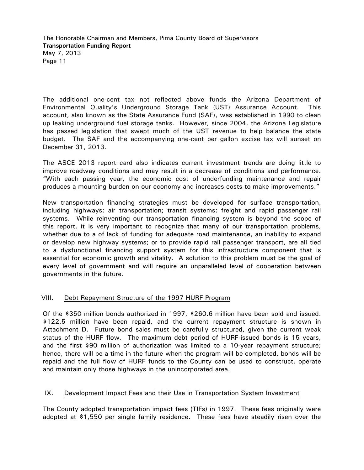The additional one-cent tax not reflected above funds the Arizona Department of Environmental Quality's Underground Storage Tank (UST) Assurance Account. This account, also known as the State Assurance Fund (SAF), was established in 1990 to clean up leaking underground fuel storage tanks. However, since 2004, the Arizona Legislature has passed legislation that swept much of the UST revenue to help balance the state budget. The SAF and the accompanying one-cent per gallon excise tax will sunset on December 31, 2013.

The ASCE 2013 report card also indicates current investment trends are doing little to improve roadway conditions and may result in a decrease of conditions and performance. "With each passing year, the economic cost of underfunding maintenance and repair produces a mounting burden on our economy and increases costs to make improvements."

New transportation financing strategies must be developed for surface transportation, including highways; air transportation; transit systems; freight and rapid passenger rail systems. While reinventing our transportation financing system is beyond the scope of this report, it is very important to recognize that many of our transportation problems, whether due to a of lack of funding for adequate road maintenance, an inability to expand or develop new highway systems; or to provide rapid rail passenger transport, are all tied to a dysfunctional financing support system for this infrastructure component that is essential for economic growth and vitality. A solution to this problem must be the goal of every level of government and will require an unparalleled level of cooperation between governments in the future.

#### VIII. Debt Repayment Structure of the 1997 HURF Program

Of the \$350 million bonds authorized in 1997, \$260.6 million have been sold and issued. \$122.5 million have been repaid, and the current repayment structure is shown in Attachment D. Future bond sales must be carefully structured, given the current weak status of the HURF flow. The maximum debt period of HURF-issued bonds is 15 years, and the first \$90 million of authorization was limited to a 10-year repayment structure; hence, there will be a time in the future when the program will be completed, bonds will be repaid and the full flow of HURF funds to the County can be used to construct, operate and maintain only those highways in the unincorporated area.

#### IX. Development Impact Fees and their Use in Transportation System Investment

The County adopted transportation impact fees (TIFs) in 1997. These fees originally were adopted at \$1,550 per single family residence. These fees have steadily risen over the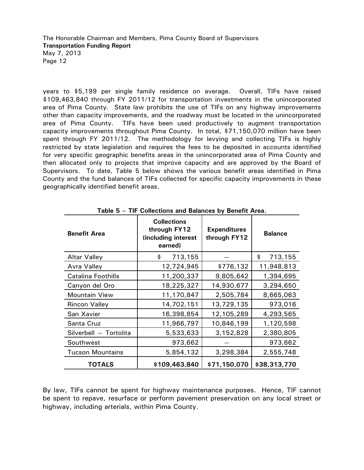years to \$5,199 per single family residence on average. Overall, TIFs have raised \$109,463,840 through FY 2011/12 for transportation investments in the unincorporated area of Pima County. State law prohibits the use of TIFs on any highway improvements other than capacity improvements, and the roadway must be located in the unincorporated area of Pima County. TIFs have been used productively to augment transportation capacity improvements throughout Pima County. In total, \$71,150,070 million have been spent through FY 2011/12. The methodology for levying and collecting TIFs is highly restricted by state legislation and requires the fees to be deposited in accounts identified for very specific geographic benefits areas in the unincorporated area of Pima County and then allocated only to projects that improve capacity and are approved by the Board of Supervisors. To date, Table 5 below shows the various benefit areas identified in Pima County and the fund balances of TIFs collected for specific capacity improvements in these geographically identified benefit areas.

| <b>Benefit Area</b>       | <b>Collections</b><br>through FY12<br>(including interest<br>earned) | <b>Expenditures</b><br>through FY12 | <b>Balance</b> |  |
|---------------------------|----------------------------------------------------------------------|-------------------------------------|----------------|--|
| <b>Altar Valley</b>       | 713,155<br>\$                                                        |                                     | \$<br>713,155  |  |
| <b>Avra Valley</b>        | 12,724,945                                                           | \$776,132                           | 11,948,813     |  |
| <b>Catalina Foothills</b> | 11,200,337                                                           | 9,805,642                           | 1,394,695      |  |
| Canyon del Oro            | 18,225,327                                                           | 14,930,677                          | 3,294,650      |  |
| <b>Mountain View</b>      | 11,170,847                                                           | 2,505,784                           | 8,665,063      |  |
| <b>Rincon Valley</b>      | 14,702,151                                                           | 13,729,135                          | 973,016        |  |
| San Xavier                | 16,398,854                                                           | 12,105,289                          | 4,293,565      |  |
| Santa Cruz                | 11,966,797                                                           | 10,846,199                          | 1,120,598      |  |
| Silverbell - Tortolita    | 5,533,633                                                            | 3,152,828                           | 2,380,805      |  |
| Southwest                 | 973,662                                                              |                                     | 973,662        |  |
| <b>Tucson Mountains</b>   | 5,854,132                                                            | 3,298,384                           | 2,555,748      |  |
| TOTALS                    | \$109,463,840                                                        | \$71,150,070                        | \$38,313,770   |  |

**Table 5 – TIF Collections and Balances by Benefit Area.** 

By law, TIFs cannot be spent for highway maintenance purposes. Hence, TIF cannot be spent to repave, resurface or perform pavement preservation on any local street or highway, including arterials, within Pima County.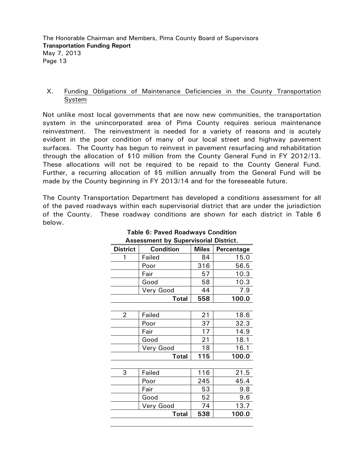#### X. Funding Obligations of Maintenance Deficiencies in the County Transportation System

Not unlike most local governments that are now new communities, the transportation system in the unincorporated area of Pima County requires serious maintenance reinvestment. The reinvestment is needed for a variety of reasons and is acutely evident in the poor condition of many of our local street and highway pavement surfaces. The County has begun to reinvest in pavement resurfacing and rehabilitation through the allocation of \$10 million from the County General Fund in FY 2012/13. These allocations will not be required to be repaid to the County General Fund. Further, a recurring allocation of \$5 million annually from the General Fund will be made by the County beginning in FY 2013/14 and for the foreseeable future.

The County Transportation Department has developed a conditions assessment for all of the paved roadways within each supervisorial district that are under the jurisdiction of the County. These roadway conditions are shown for each district in Table 6 below.

| Assessment by Supervisonal District. |                  |              |            |  |  |  |  |  |  |
|--------------------------------------|------------------|--------------|------------|--|--|--|--|--|--|
| <b>District</b>                      | <b>Condition</b> | <b>Miles</b> | Percentage |  |  |  |  |  |  |
| 1                                    | Failed           | 84           | 15.0       |  |  |  |  |  |  |
|                                      | Poor             | 316          | 56.5       |  |  |  |  |  |  |
|                                      | Fair             | 57           | 10.3       |  |  |  |  |  |  |
|                                      | Good             | 58           | 10.3       |  |  |  |  |  |  |
|                                      | Very Good        | 44           | 7.9        |  |  |  |  |  |  |
|                                      | <b>Total</b>     | 558          | 100.0      |  |  |  |  |  |  |
|                                      |                  |              |            |  |  |  |  |  |  |
| 2                                    | Failed           | 21           | 18.6       |  |  |  |  |  |  |
|                                      | Poor             | 37           | 32.3       |  |  |  |  |  |  |
|                                      | Fair             | 17           | 14.9       |  |  |  |  |  |  |
|                                      | Good             | 21           | 18.1       |  |  |  |  |  |  |
|                                      | Very Good        | 18           | 16.1       |  |  |  |  |  |  |
|                                      | <b>Total</b>     | 115          | 100.0      |  |  |  |  |  |  |
|                                      |                  |              |            |  |  |  |  |  |  |
| 3                                    | Failed           | 116          | 21.5       |  |  |  |  |  |  |
|                                      | Poor             | 245          | 45.4       |  |  |  |  |  |  |
|                                      | Fair             | 53           | 9.8        |  |  |  |  |  |  |
|                                      | Good             | 52           | 9.6        |  |  |  |  |  |  |
|                                      | Very Good        | 74           | 13.7       |  |  |  |  |  |  |
|                                      | <b>Total</b>     | 538          | 100.0      |  |  |  |  |  |  |
|                                      |                  |              |            |  |  |  |  |  |  |

#### **Table 6: Paved Roadways Condition Assessment by Supervisorial District.**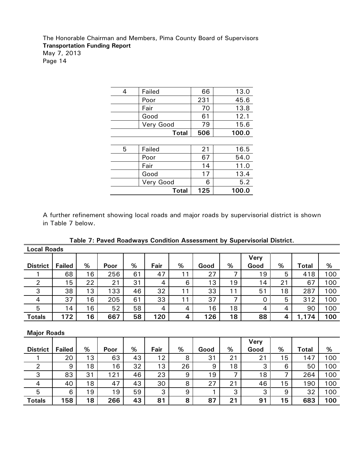| 4 | Failed       | 66  | 13.0  |
|---|--------------|-----|-------|
|   | Poor         | 231 | 45.6  |
|   | Fair         | 70  | 13.8  |
|   | Good         | 61  | 12.1  |
|   | Very Good    | 79  | 15.6  |
|   | <b>Total</b> | 506 | 100.0 |
|   |              |     |       |
| 5 | Failed       | 21  | 16.5  |
|   | Poor         | 67  | 54.0  |
|   | Fair         | 14  | 11.0  |
|   | Good         | 17  | 13.4  |
|   | Very Good    | 6   | 5.2   |
|   | <b>Total</b> | 125 | 100.0 |

A further refinement showing local roads and major roads by supervisorial district is shown in Table 7 below.

|  |  |  |  |  |  |  | Table 7: Paved Roadways Condition Assessment by Supervisorial District. |  |
|--|--|--|--|--|--|--|-------------------------------------------------------------------------|--|
|--|--|--|--|--|--|--|-------------------------------------------------------------------------|--|

| <b>Local Roads</b> |               |    |      |    |      |              |      |    |             |    |              |     |
|--------------------|---------------|----|------|----|------|--------------|------|----|-------------|----|--------------|-----|
|                    |               |    |      |    |      |              |      |    | <b>Very</b> |    |              |     |
| <b>District</b>    | <b>Failed</b> | %  | Poor | %  | Fair | %            | Good | %  | Good        | %  | <b>Total</b> | %   |
|                    | 68            | 16 | 256  | 61 | 47   | 11           | 27   | ⇁  | 19          | 5  | 418          | 100 |
| 2                  | 15            | 22 | 21   | 31 | 4    | 6            | 13   | 19 | 14          | 21 | 67           | 100 |
| 3                  | 38            | 13 | 133  | 46 | 32   | 11           | 33   | 11 | 51          | 18 | 287          | 100 |
| $\overline{4}$     | 37            | 16 | 205  | 61 | 33   | $\mathbf{A}$ | 37   | 7  | O           | 5  | 312          | 100 |
| 5                  | 14            | 16 | 52   | 58 | 4    | 4            | 16   | 18 | 4           | 4  | 90           | 100 |
| <b>Totals</b>      | 172           | 16 | 667  | 58 | 120  | 4            | 126  | 18 | 88          | 4  | 1,174        | 100 |

**Major Roads** 

|                 |               |    |      |    |      |    |      |    | Very |    |              |     |
|-----------------|---------------|----|------|----|------|----|------|----|------|----|--------------|-----|
| <b>District</b> | <b>Failed</b> | %  | Poor | %  | Fair | %  | Good | %  | Good | %  | <b>Total</b> | %   |
|                 | 20            | 13 | 63   | 43 | 12   | 8  | 31   | 21 | 21   | 15 | 147          | 100 |
|                 | 9             | 18 | 16   | 32 | 13   | 26 | 9    | 18 | 3    | 6  | 50           | 100 |
| っ<br>د          | 83            | 31 | 121  | 46 | 23   | 9  | 19   | ⇁  | 18   | ⇁  | 264          | 100 |
| 4               | 40            | 18 | 47   | 43 | 30   | 8  | 27   | 21 | 46   | 15 | 190          | 100 |
| 5               | 6             | 19 | 19   | 59 | 3    | 9  |      | 3  | 3    | 9  | 32           | 100 |
| <b>Totals</b>   | 158           | 18 | 266  | 43 | 81   | 8  | 87   | 21 | 91   | 15 | 683          | 100 |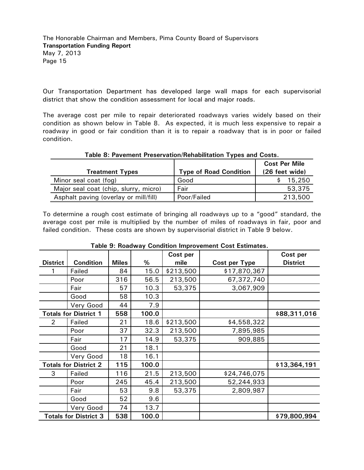Our Transportation Department has developed large wall maps for each supervisorial district that show the condition assessment for local and major roads.

The average cost per mile to repair deteriorated roadways varies widely based on their condition as shown below in Table 8. As expected, it is much less expensive to repair a roadway in good or fair condition than it is to repair a roadway that is in poor or failed condition.

| <b>Treatment Types</b>                | <b>Type of Road Condition</b> | <b>Cost Per Mile</b><br>(26 feet wide) |
|---------------------------------------|-------------------------------|----------------------------------------|
| Minor seal coat (fog)                 | Good                          | 15,250                                 |
| Major seal coat (chip, slurry, micro) | Fair                          | 53,375                                 |
| Asphalt paving (overlay or mill/fill) | Poor/Failed                   | 213,500                                |

#### **Table 8: Pavement Preservation/Rehabilitation Types and Costs.**

To determine a rough cost estimate of bringing all roadways up to a "good" standard, the average cost per mile is multiplied by the number of miles of roadways in fair, poor and failed condition. These costs are shown by supervisorial district in Table 9 below.

|                 |                              |              |       | Cost per  |               | Cost per        |
|-----------------|------------------------------|--------------|-------|-----------|---------------|-----------------|
| <b>District</b> | <b>Condition</b>             | <b>Miles</b> | %     | mile      | Cost per Type | <b>District</b> |
|                 | Failed                       | 84           | 15.0  | \$213,500 | \$17,870,367  |                 |
|                 | Poor                         | 316          | 56.5  | 213,500   | 67,372,740    |                 |
|                 | Fair                         | 57           | 10.3  | 53,375    | 3,067,909     |                 |
|                 | Good                         | 58           | 10.3  |           |               |                 |
|                 | Very Good                    | 44           | 7.9   |           |               |                 |
|                 | <b>Totals for District 1</b> | 558          | 100.0 |           |               | \$88,311,016    |
| 2               | Failed                       | 21           | 18.6  | \$213,500 | \$4,558,322   |                 |
|                 | Poor                         | 37           | 32.3  | 213,500   | 7,895,985     |                 |
|                 | Fair                         | 17           | 14.9  | 53,375    | 909,885       |                 |
|                 | Good                         | 21           | 18.1  |           |               |                 |
|                 | Very Good                    | 18           | 16.1  |           |               |                 |
|                 | <b>Totals for District 2</b> | 115          | 100.0 |           |               | \$13,364,191    |
| 3               | Failed                       | 116          | 21.5  | 213,500   | \$24,746,075  |                 |
|                 | Poor                         | 245          | 45.4  | 213,500   | 52,244,933    |                 |
|                 | Fair                         | 53           | 9.8   | 53,375    | 2,809,987     |                 |
|                 | Good                         | 52           | 9.6   |           |               |                 |
|                 | Very Good                    | 74           | 13.7  |           |               |                 |
|                 | <b>Totals for District 3</b> | 538          | 100.0 |           |               | \$79,800,994    |

#### **Table 9: Roadway Condition Improvement Cost Estimates.**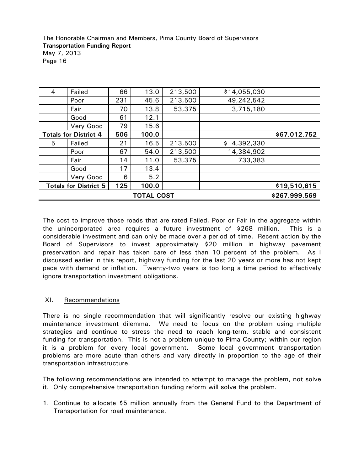| 4 | Failed                       | 66  | 13.0  | 213,500 | \$14,055,030    |              |
|---|------------------------------|-----|-------|---------|-----------------|--------------|
|   | Poor                         | 231 | 45.6  | 213,500 | 49,242,542      |              |
|   | Fair                         | 70  | 13.8  | 53,375  | 3,715,180       |              |
|   | Good                         | 61  | 12.1  |         |                 |              |
|   | Very Good                    | 79  | 15.6  |         |                 |              |
|   | <b>Totals for District 4</b> | 506 | 100.0 |         |                 | \$67,012,752 |
| 5 | Failed                       | 21  | 16.5  | 213,500 | 4,392,330<br>\$ |              |
|   | Poor                         | 67  | 54.0  | 213,500 | 14,384,902      |              |
|   | Fair                         | 14  | 11.0  | 53,375  | 733,383         |              |
|   | Good                         | 17  | 13.4  |         |                 |              |
|   | Very Good                    | 6   | 5.2   |         |                 |              |
|   | <b>Totals for District 5</b> | 125 | 100.0 |         |                 | \$19,510,615 |
|   | \$267,999,569                |     |       |         |                 |              |

The cost to improve those roads that are rated Failed, Poor or Fair in the aggregate within the unincorporated area requires a future investment of \$268 million. This is a considerable investment and can only be made over a period of time. Recent action by the Board of Supervisors to invest approximately \$20 million in highway pavement preservation and repair has taken care of less than 10 percent of the problem. As I discussed earlier in this report, highway funding for the last 20 years or more has not kept pace with demand or inflation. Twenty-two years is too long a time period to effectively ignore transportation investment obligations.

#### XI. Recommendations

There is no single recommendation that will significantly resolve our existing highway maintenance investment dilemma. We need to focus on the problem using multiple strategies and continue to stress the need to reach long-term, stable and consistent funding for transportation. This is not a problem unique to Pima County; within our region it is a problem for every local government. Some local government transportation problems are more acute than others and vary directly in proportion to the age of their transportation infrastructure.

The following recommendations are intended to attempt to manage the problem, not solve it. Only comprehensive transportation funding reform will solve the problem.

1. Continue to allocate \$5 million annually from the General Fund to the Department of Transportation for road maintenance.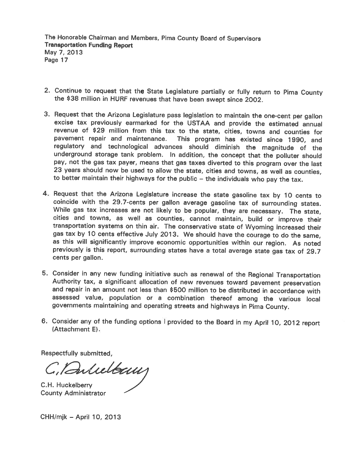- 2. Continue to request that the State Legislature partially or fully return to Pima County the \$38 million in HURF revenues that have been swept since 2002.
- 3. Request that the Arizona Legislature pass legislation to maintain the one-cent per gallon excise tax previously earmarked for the USTAA and provide the estimated annual revenue of \$29 million from this tax to the state, cities, towns and counties for pavement repair and maintenance. This program has existed since 1990, and regulatory and technological advances should diminish the magnitude of the underground storage tank problem. In addition, the concept that the polluter should pay, not the gas tax payer, means that gas taxes diverted to this program over the last 23 years should now be used to allow the state, cities and towns, as well as counties, to better maintain their highways for the public - the individuals who pay the tax.
- 4. Request that the Arizona Legislature increase the state gasoline tax by 10 cents to coincide with the 29.7-cents per gallon average gasoline tax of surrounding states. While gas tax increases are not likely to be popular, they are necessary. The state, cities and towns, as well as counties, cannot maintain, build or improve their transportation systems on thin air. The conservative state of Wyoming increased their gas tax by 10 cents effective July 2013. We should have the courage to do the same, as this will significantly improve economic opportunities within our region. As noted previously is this report, surrounding states have a total average state gas tax of 29.7 cents per gallon.
- 5. Consider in any new funding initiative such as renewal of the Regional Transportation Authority tax, a significant allocation of new revenues toward pavement preservation and repair in an amount not less than \$500 million to be distributed in accordance with assessed value, population or a combination thereof among the various local governments maintaining and operating streets and highways in Pima County.
- 6. Consider any of the funding options I provided to the Board in my April 10, 2012 report (Attachment E).

Respectfully submitted,

C. Bulielbaun

C.H. Huckelberry **County Administrator** 

CHH/mjk - April 10, 2013